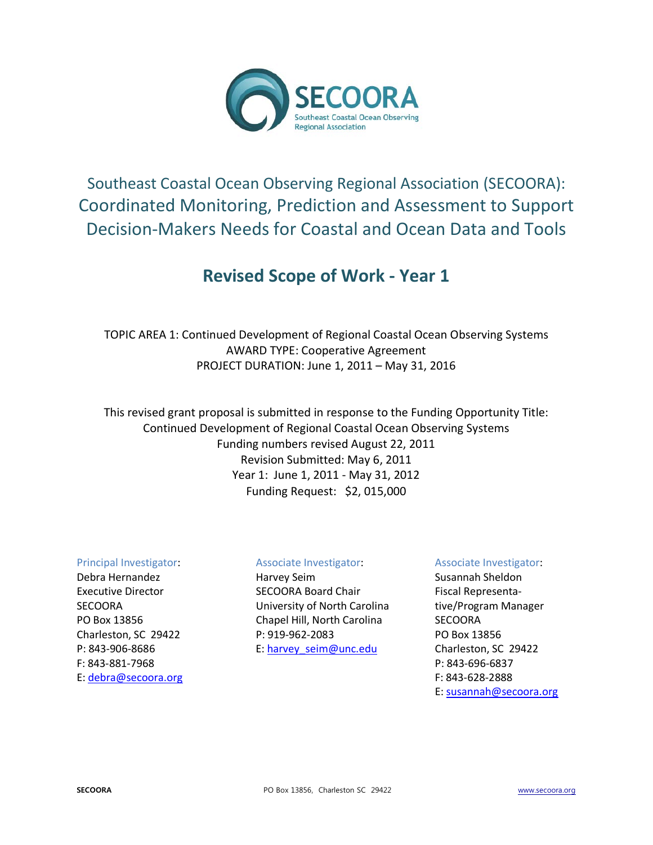

# Southeast Coastal Ocean Observing Regional Association (SECOORA): Coordinated Monitoring, Prediction and Assessment to Support Decision-Makers Needs for Coastal and Ocean Data and Tools

## **Revised Scope of Work - Year 1**

TOPIC AREA 1: Continued Development of Regional Coastal Ocean Observing Systems AWARD TYPE: Cooperative Agreement PROJECT DURATION: June 1, 2011 – May 31, 2016

This revised grant proposal is submitted in response to the Funding Opportunity Title: Continued Development of Regional Coastal Ocean Observing Systems Funding numbers revised August 22, 2011 Revision Submitted: May 6, 2011 Year 1: June 1, 2011 - May 31, 2012 Funding Request: \$2, 015,000

## Principal Investigator:

Debra Hernandez Executive Director **SECOORA** PO Box 13856 Charleston, SC 29422 P: 843-906-8686 F: 843-881-7968 E: [debra@secoora.org](mailto:susannah@secoora.org)

## Associate Investigator:

Harvey Seim SECOORA Board Chair University of North Carolina Chapel Hill, North Carolina P: 919-962-2083 E: [harvey\\_seim@unc.edu](mailto:harvey_seim@unc.edu)

## Associate Investigator:

Susannah Sheldon Fiscal Representative/Program Manager **SECOORA** PO Box 13856 Charleston, SC 29422 P: 843-696-6837 F: 843-628-2888 E: [susannah@secoora.org](mailto:susannah@secoora.org)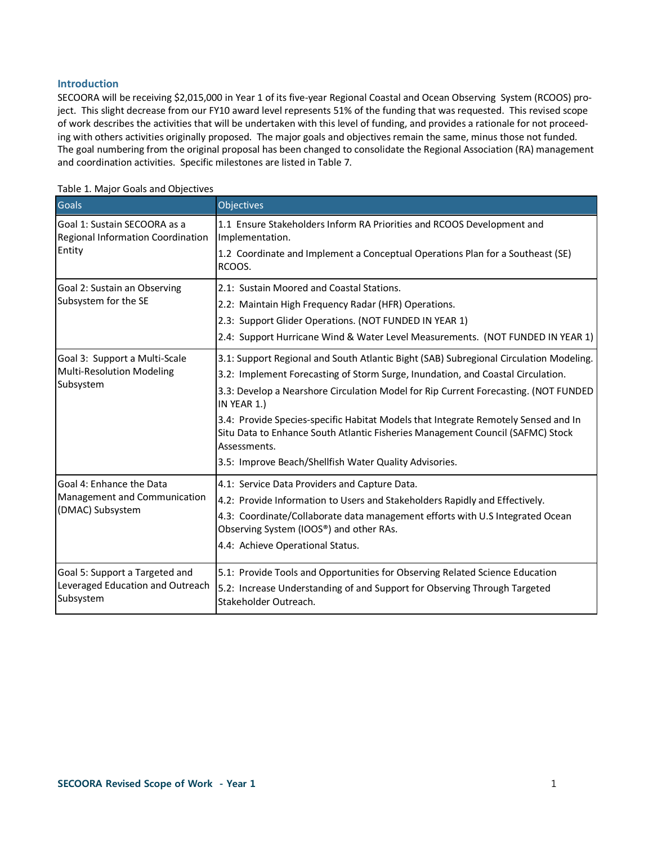#### **Introduction**

SECOORA will be receiving \$2,015,000 in Year 1 of its five-year Regional Coastal and Ocean Observing System (RCOOS) project. This slight decrease from our FY10 award level represents 51% of the funding that was requested. This revised scope of work describes the activities that will be undertaken with this level of funding, and provides a rationale for not proceeding with others activities originally proposed. The major goals and objectives remain the same, minus those not funded. The goal numbering from the original proposal has been changed to consolidate the Regional Association (RA) management and coordination activities. Specific milestones are listed in Table 7.

| Goals                                                             | Objectives                                                                                                                                                                           |
|-------------------------------------------------------------------|--------------------------------------------------------------------------------------------------------------------------------------------------------------------------------------|
| Goal 1: Sustain SECOORA as a<br>Regional Information Coordination | 1.1 Ensure Stakeholders Inform RA Priorities and RCOOS Development and<br>Implementation.                                                                                            |
| Entity                                                            | 1.2 Coordinate and Implement a Conceptual Operations Plan for a Southeast (SE)<br>RCOOS.                                                                                             |
| Goal 2: Sustain an Observing                                      | 2.1: Sustain Moored and Coastal Stations.                                                                                                                                            |
| Subsystem for the SE                                              | 2.2: Maintain High Frequency Radar (HFR) Operations.                                                                                                                                 |
|                                                                   | 2.3: Support Glider Operations. (NOT FUNDED IN YEAR 1)                                                                                                                               |
|                                                                   | 2.4: Support Hurricane Wind & Water Level Measurements. (NOT FUNDED IN YEAR 1)                                                                                                       |
| Goal 3: Support a Multi-Scale                                     | 3.1: Support Regional and South Atlantic Bight (SAB) Subregional Circulation Modeling.                                                                                               |
| Multi-Resolution Modeling                                         | 3.2: Implement Forecasting of Storm Surge, Inundation, and Coastal Circulation.                                                                                                      |
| Subsystem                                                         | 3.3: Develop a Nearshore Circulation Model for Rip Current Forecasting. (NOT FUNDED<br>IN YEAR 1.)                                                                                   |
|                                                                   | 3.4: Provide Species-specific Habitat Models that Integrate Remotely Sensed and In<br>Situ Data to Enhance South Atlantic Fisheries Management Council (SAFMC) Stock<br>Assessments. |
|                                                                   | 3.5: Improve Beach/Shellfish Water Quality Advisories.                                                                                                                               |
| Goal 4: Enhance the Data                                          | 4.1: Service Data Providers and Capture Data.                                                                                                                                        |
| Management and Communication                                      | 4.2: Provide Information to Users and Stakeholders Rapidly and Effectively.                                                                                                          |
| (DMAC) Subsystem                                                  | 4.3: Coordinate/Collaborate data management efforts with U.S Integrated Ocean<br>Observing System (IOOS®) and other RAs.                                                             |
|                                                                   | 4.4: Achieve Operational Status.                                                                                                                                                     |
| Goal 5: Support a Targeted and                                    | 5.1: Provide Tools and Opportunities for Observing Related Science Education                                                                                                         |
| Leveraged Education and Outreach<br>Subsystem                     | 5.2: Increase Understanding of and Support for Observing Through Targeted<br>Stakeholder Outreach.                                                                                   |

Table 1. Major Goals and Objectives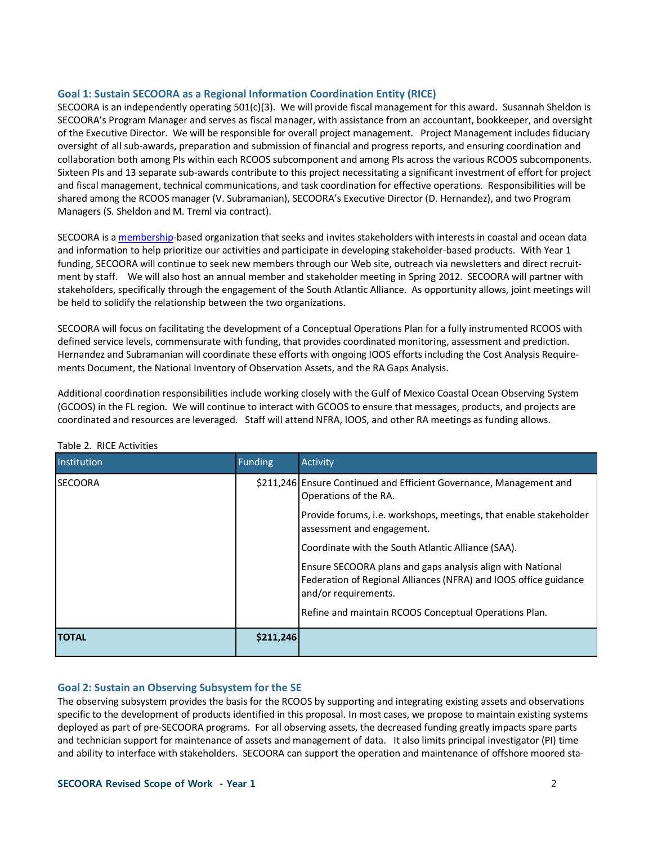#### **Goal 1: Sustain SECOORA as a Regional Information Coordination Entity (RICE)**

SECOORA is an independently operating 501(c)(3). We will provide fiscal management for this award. Susannah Sheldon is SECOORA's Program Manager and serves as fiscal manager, with assistance from an accountant, bookkeeper, and oversight of the Executive Director. We will be responsible for overall project management. Project Management includes fiduciary oversight of all sub-awards, preparation and submission of financial and progress reports, and ensuring coordination and collaboration both among PIs within each RCOOS subcomponent and among PIs across the various RCOOS subcomponents. Sixteen PIs and 13 separate sub-awards contribute to this project necessitating a significant investment of effort for project and fiscal management, technical communications, and task coordination for effective operations. Responsibilities will be shared among the RCOOS manager (V. Subramanian), SECOORA's Executive Director (D. Hernandez), and two Program Managers (S. Sheldon and M. Treml via contract).

SECOORA is [a membership-](http://www.secoora.org/about/membership#http://www.secoora.org/about/membership)based organization that seeks and invites stakeholders with interests in coastal and ocean data and information to help prioritize our activities and participate in developing stakeholder-based products. With Year 1 funding, SECOORA will continue to seek new members through our Web site, outreach via newsletters and direct recruitment by staff. We will also host an annual member and stakeholder meeting in Spring 2012. SECOORA will partner with stakeholders, specifically through the engagement of the South Atlantic Alliance. As opportunity allows, joint meetings will be held to solidify the relationship between the two organizations.

SECOORA will focus on facilitating the development of a Conceptual Operations Plan for a fully instrumented RCOOS with defined service levels, commensurate with funding, that provides coordinated monitoring, assessment and prediction. Hernandez and Subramanian will coordinate these efforts with ongoing IOOS efforts including the Cost Analysis Requirements Document, the National Inventory of Observation Assets, and the RA Gaps Analysis.

Additional coordination responsibilities include working closely with the Gulf of Mexico Coastal Ocean Observing System (GCOOS) in the FL region. We will continue to interact with GCOOS to ensure that messages, products, and projects are coordinated and resources are leveraged. Staff will attend NFRA, IOOS, and other RA meetings as funding allows.

| Institution    | <b>Funding</b> | Activity                                                                                                                                                          |
|----------------|----------------|-------------------------------------------------------------------------------------------------------------------------------------------------------------------|
| <b>SECOORA</b> |                | \$211,246 Ensure Continued and Efficient Governance, Management and<br>Operations of the RA.<br>Provide forums, i.e. workshops, meetings, that enable stakeholder |
|                |                | assessment and engagement.                                                                                                                                        |
|                |                | Coordinate with the South Atlantic Alliance (SAA).                                                                                                                |
|                |                | Ensure SECOORA plans and gaps analysis align with National<br>Federation of Regional Alliances (NFRA) and IOOS office guidance<br>and/or requirements.            |
|                |                | Refine and maintain RCOOS Conceptual Operations Plan.                                                                                                             |
| <b>TOTAL</b>   | \$211,246      |                                                                                                                                                                   |

#### Table 2. RICE Activities

#### **Goal 2: Sustain an Observing Subsystem for the SE**

The observing subsystem provides the basis for the RCOOS by supporting and integrating existing assets and observations specific to the development of products identified in this proposal. In most cases, we propose to maintain existing systems deployed as part of pre-SECOORA programs. For all observing assets, the decreased funding greatly impacts spare parts and technician support for maintenance of assets and management of data. It also limits principal investigator (PI) time and ability to interface with stakeholders. SECOORA can support the operation and maintenance of offshore moored sta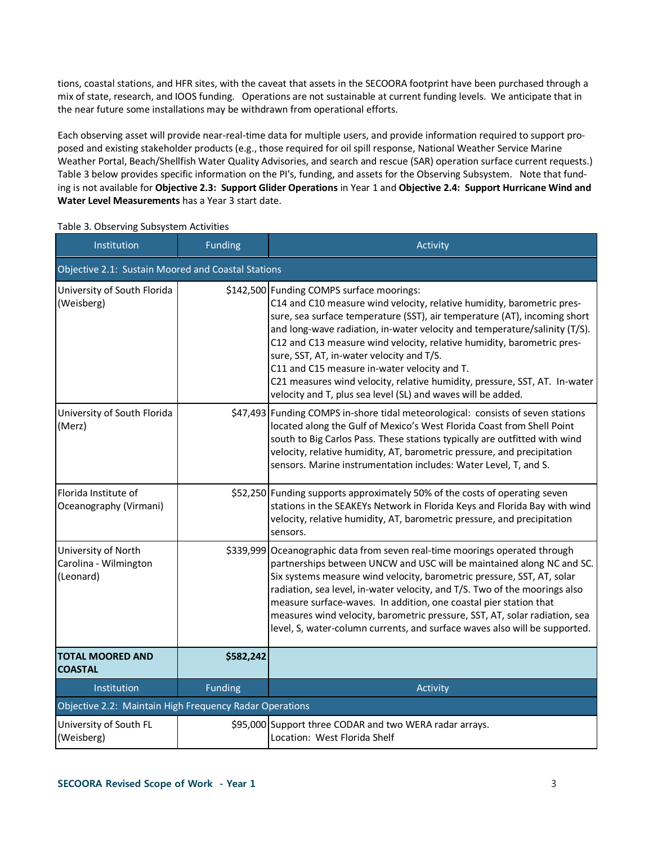tions, coastal stations, and HFR sites, with the caveat that assets in the SECOORA footprint have been purchased through a mix of state, research, and IOOS funding. Operations are not sustainable at current funding levels. We anticipate that in the near future some installations may be withdrawn from operational efforts.

Each observing asset will provide near-real-time data for multiple users, and provide information required to support proposed and existing stakeholder products (e.g., those required for oil spill response, National Weather Service Marine Weather Portal, Beach/Shellfish Water Quality Advisories, and search and rescue (SAR) operation surface current requests.) Table 3 below provides specific information on the PI's, funding, and assets for the Observing Subsystem. Note that funding is not available for **Objective 2.3: Support Glider Operations** in Year 1 and **Objective 2.4: Support Hurricane Wind and Water Level Measurements** has a Year 3 start date.

| Institution                                               | <b>Funding</b>                                     | Activity                                                                                                                                                                                                                                                                                                                                                                                                                                                                                                                                                                                            |  |  |  |  |
|-----------------------------------------------------------|----------------------------------------------------|-----------------------------------------------------------------------------------------------------------------------------------------------------------------------------------------------------------------------------------------------------------------------------------------------------------------------------------------------------------------------------------------------------------------------------------------------------------------------------------------------------------------------------------------------------------------------------------------------------|--|--|--|--|
|                                                           | Objective 2.1: Sustain Moored and Coastal Stations |                                                                                                                                                                                                                                                                                                                                                                                                                                                                                                                                                                                                     |  |  |  |  |
| University of South Florida<br>(Weisberg)                 |                                                    | \$142,500 Funding COMPS surface moorings:<br>C14 and C10 measure wind velocity, relative humidity, barometric pres-<br>sure, sea surface temperature (SST), air temperature (AT), incoming short<br>and long-wave radiation, in-water velocity and temperature/salinity (T/S).<br>C12 and C13 measure wind velocity, relative humidity, barometric pres-<br>sure, SST, AT, in-water velocity and T/S.<br>C11 and C15 measure in-water velocity and T.<br>C21 measures wind velocity, relative humidity, pressure, SST, AT. In-water<br>velocity and T, plus sea level (SL) and waves will be added. |  |  |  |  |
| University of South Florida<br>(Merz)                     |                                                    | \$47,493 Funding COMPS in-shore tidal meteorological: consists of seven stations<br>located along the Gulf of Mexico's West Florida Coast from Shell Point<br>south to Big Carlos Pass. These stations typically are outfitted with wind<br>velocity, relative humidity, AT, barometric pressure, and precipitation<br>sensors. Marine instrumentation includes: Water Level, T, and S.                                                                                                                                                                                                             |  |  |  |  |
| Florida Institute of<br>Oceanography (Virmani)            |                                                    | \$52,250 Funding supports approximately 50% of the costs of operating seven<br>stations in the SEAKEYs Network in Florida Keys and Florida Bay with wind<br>velocity, relative humidity, AT, barometric pressure, and precipitation<br>sensors.                                                                                                                                                                                                                                                                                                                                                     |  |  |  |  |
| University of North<br>Carolina - Wilmington<br>(Leonard) |                                                    | \$339,999 Oceanographic data from seven real-time moorings operated through<br>partnerships between UNCW and USC will be maintained along NC and SC.<br>Six systems measure wind velocity, barometric pressure, SST, AT, solar<br>radiation, sea level, in-water velocity, and T/S. Two of the moorings also<br>measure surface-waves. In addition, one coastal pier station that<br>measures wind velocity, barometric pressure, SST, AT, solar radiation, sea<br>level, S, water-column currents, and surface waves also will be supported.                                                       |  |  |  |  |
| <b>TOTAL MOORED AND</b><br><b>COASTAL</b>                 | \$582,242                                          |                                                                                                                                                                                                                                                                                                                                                                                                                                                                                                                                                                                                     |  |  |  |  |
| Institution                                               | <b>Funding</b>                                     | Activity                                                                                                                                                                                                                                                                                                                                                                                                                                                                                                                                                                                            |  |  |  |  |
| Objective 2.2: Maintain High Frequency Radar Operations   |                                                    |                                                                                                                                                                                                                                                                                                                                                                                                                                                                                                                                                                                                     |  |  |  |  |
| University of South FL<br>(Weisberg)                      |                                                    | \$95,000 Support three CODAR and two WERA radar arrays.<br>Location: West Florida Shelf                                                                                                                                                                                                                                                                                                                                                                                                                                                                                                             |  |  |  |  |

Table 3. Observing Subsystem Activities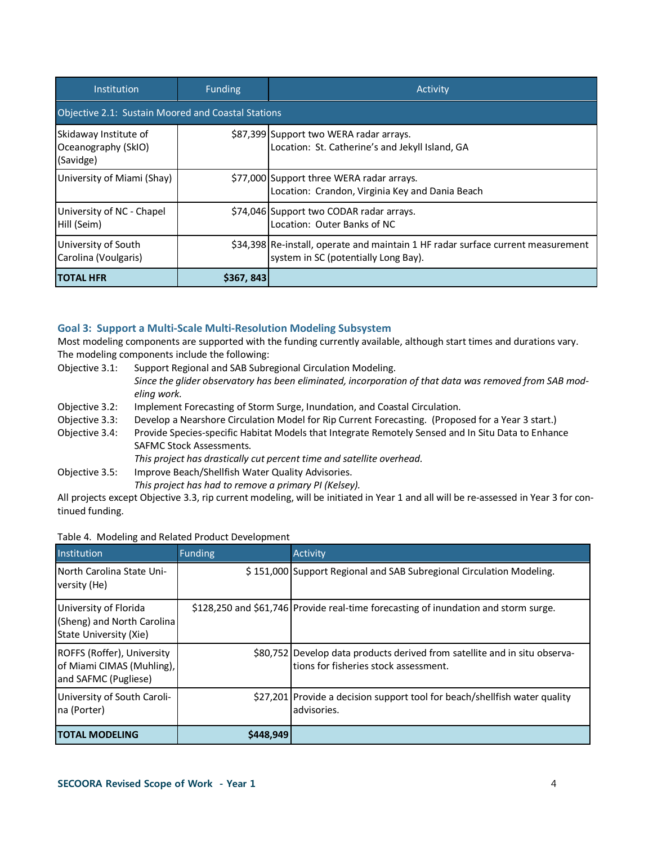| Institution                                               | <b>Funding</b> | Activity                                                                                                                 |  |  |  |
|-----------------------------------------------------------|----------------|--------------------------------------------------------------------------------------------------------------------------|--|--|--|
| Objective 2.1: Sustain Moored and Coastal Stations        |                |                                                                                                                          |  |  |  |
| Skidaway Institute of<br>Oceanography (SkIO)<br>(Savidge) |                | \$87,399 Support two WERA radar arrays.<br>Location: St. Catherine's and Jekyll Island, GA                               |  |  |  |
| University of Miami (Shay)                                |                | \$77,000 Support three WERA radar arrays.<br>Location: Crandon, Virginia Key and Dania Beach                             |  |  |  |
| University of NC - Chapel<br>Hill (Seim)                  |                | \$74,046 Support two CODAR radar arrays.<br>Location: Outer Banks of NC                                                  |  |  |  |
| University of South<br>Carolina (Voulgaris)               |                | \$34,398 Re-install, operate and maintain 1 HF radar surface current measurement<br>system in SC (potentially Long Bay). |  |  |  |
| <b>ITOTAL HFR</b>                                         | \$367, 843     |                                                                                                                          |  |  |  |

### **Goal 3: Support a Multi-Scale Multi-Resolution Modeling Subsystem**

Most modeling components are supported with the funding currently available, although start times and durations vary. The modeling components include the following:

- Objective 3.1: Support Regional and SAB Subregional Circulation Modeling. *Since the glider observatory has been eliminated, incorporation of that data was removed from SAB modeling work.*
- Objective 3.2: Implement Forecasting of Storm Surge, Inundation, and Coastal Circulation.
- Objective 3.3: Develop a Nearshore Circulation Model for Rip Current Forecasting. (Proposed for a Year 3 start.)
- Objective 3.4: Provide Species-specific Habitat Models that Integrate Remotely Sensed and In Situ Data to Enhance SAFMC Stock Assessments.
	- *This project has drastically cut percent time and satellite overhead.*

Objective 3.5: Improve Beach/Shellfish Water Quality Advisories.

*This project has had to remove a primary PI (Kelsey).*

All projects except Objective 3.3, rip current modeling, will be initiated in Year 1 and all will be re-assessed in Year 3 for continued funding.

|  | Table 4. Modeling and Related Product Development |  |
|--|---------------------------------------------------|--|
|  |                                                   |  |

| Institution                                                                     | <b>Funding</b> | Activity                                                                                                             |
|---------------------------------------------------------------------------------|----------------|----------------------------------------------------------------------------------------------------------------------|
| North Carolina State Uni-<br>versity (He)                                       |                | \$151,000 Support Regional and SAB Subregional Circulation Modeling.                                                 |
| University of Florida<br>(Sheng) and North Carolina<br>State University (Xie)   |                | \$128,250 and \$61,746 Provide real-time forecasting of inundation and storm surge.                                  |
| ROFFS (Roffer), University<br>of Miami CIMAS (Muhling),<br>and SAFMC (Pugliese) |                | \$80,752 Develop data products derived from satellite and in situ observa-<br>Itions for fisheries stock assessment. |
| University of South Caroli-<br>na (Porter)                                      |                | \$27,201 Provide a decision support tool for beach/shellfish water quality<br>advisories.                            |
| <b>ITOTAL MODELING</b>                                                          | \$448,949      |                                                                                                                      |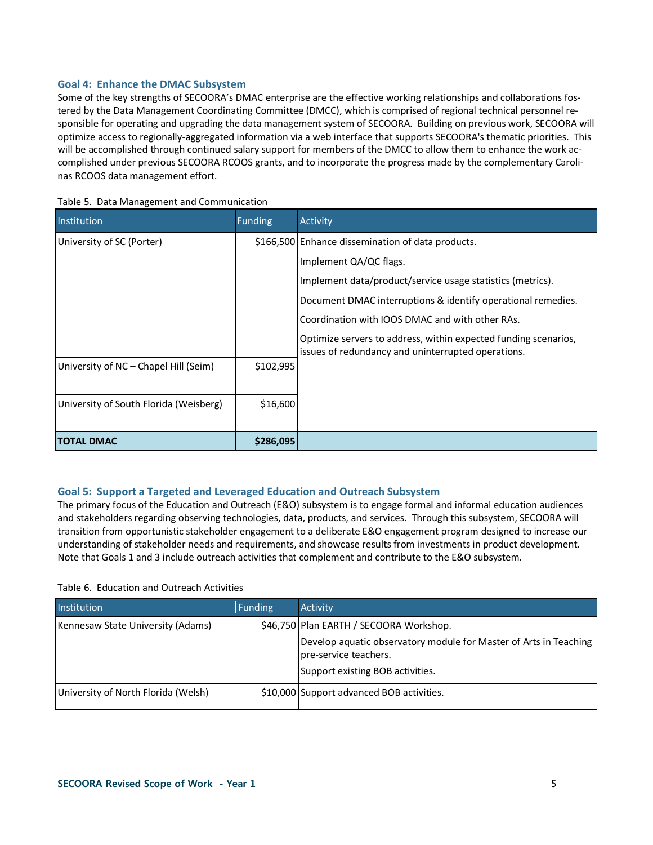## **Goal 4: Enhance the DMAC Subsystem**

Some of the key strengths of SECOORA's DMAC enterprise are the effective working relationships and collaborations fostered by the Data Management Coordinating Committee (DMCC), which is comprised of regional technical personnel responsible for operating and upgrading the data management system of SECOORA. Building on previous work, SECOORA will optimize access to regionally-aggregated information via a web interface that supports SECOORA's thematic priorities. This will be accomplished through continued salary support for members of the DMCC to allow them to enhance the work accomplished under previous SECOORA RCOOS grants, and to incorporate the progress made by the complementary Carolinas RCOOS data management effort.

| Institution                            | <b>Funding</b> | Activity                                                                                                              |
|----------------------------------------|----------------|-----------------------------------------------------------------------------------------------------------------------|
| University of SC (Porter)              |                | \$166,500 Enhance dissemination of data products.                                                                     |
|                                        |                | Implement QA/QC flags.                                                                                                |
|                                        |                | Implement data/product/service usage statistics (metrics).                                                            |
|                                        |                | Document DMAC interruptions & identify operational remedies.                                                          |
|                                        |                | Coordination with IOOS DMAC and with other RAs.                                                                       |
|                                        |                | Optimize servers to address, within expected funding scenarios,<br>issues of redundancy and uninterrupted operations. |
| University of NC - Chapel Hill (Seim)  | \$102,995      |                                                                                                                       |
| University of South Florida (Weisberg) | \$16,600       |                                                                                                                       |
| ITOTAL DMAC                            | \$286,095      |                                                                                                                       |

#### Table 5. Data Management and Communication

## **Goal 5: Support a Targeted and Leveraged Education and Outreach Subsystem**

The primary focus of the Education and Outreach (E&O) subsystem is to engage formal and informal education audiences and stakeholders regarding observing technologies, data, products, and services. Through this subsystem, SECOORA will transition from opportunistic stakeholder engagement to a deliberate E&O engagement program designed to increase our understanding of stakeholder needs and requirements, and showcase results from investments in product development. Note that Goals 1 and 3 include outreach activities that complement and contribute to the E&O subsystem.

#### Table 6. Education and Outreach Activities

| Institution                         | <b>Funding</b> | <b>Activity</b>                                                                                                                |
|-------------------------------------|----------------|--------------------------------------------------------------------------------------------------------------------------------|
| Kennesaw State University (Adams)   |                | \$46,750 Plan EARTH / SECOORA Workshop.                                                                                        |
|                                     |                | Develop aquatic observatory module for Master of Arts in Teaching<br>pre-service teachers.<br>Support existing BOB activities. |
| University of North Florida (Welsh) |                | \$10,000 Support advanced BOB activities.                                                                                      |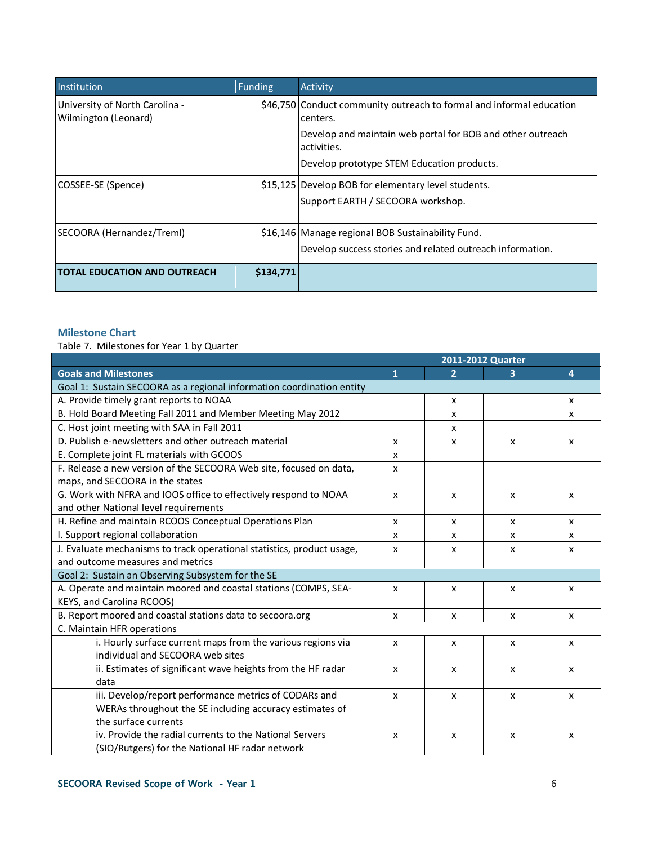| Institution                                            | <b>Funding</b> | Activity                                                                         |
|--------------------------------------------------------|----------------|----------------------------------------------------------------------------------|
| University of North Carolina -<br>Wilmington (Leonard) |                | \$46,750 Conduct community outreach to formal and informal education<br>centers. |
|                                                        |                | Develop and maintain web portal for BOB and other outreach<br>activities.        |
|                                                        |                | Develop prototype STEM Education products.                                       |
| COSSEE-SE (Spence)                                     |                | \$15,125 Develop BOB for elementary level students.                              |
|                                                        |                | Support EARTH / SECOORA workshop.                                                |
| SECOORA (Hernandez/Treml)                              |                | \$16,146 Manage regional BOB Sustainability Fund.                                |
|                                                        |                | Develop success stories and related outreach information.                        |
| <b>ITOTAL EDUCATION AND OUTREACH</b>                   | \$134,771      |                                                                                  |

## **Milestone Chart**

Table 7. Milestones for Year 1 by Quarter

|                                                                        | 2011-2012 Quarter |                           |              |                           |
|------------------------------------------------------------------------|-------------------|---------------------------|--------------|---------------------------|
| <b>Goals and Milestones</b>                                            | $\mathbf{1}$      | $\overline{2}$            | з            | 4                         |
| Goal 1: Sustain SECOORA as a regional information coordination entity  |                   |                           |              |                           |
| A. Provide timely grant reports to NOAA                                |                   | x                         |              | x                         |
| B. Hold Board Meeting Fall 2011 and Member Meeting May 2012            |                   | x                         |              | x                         |
| C. Host joint meeting with SAA in Fall 2011                            |                   | X                         |              |                           |
| D. Publish e-newsletters and other outreach material                   | x                 | X                         | x            | X                         |
| E. Complete joint FL materials with GCOOS                              | X                 |                           |              |                           |
| F. Release a new version of the SECOORA Web site, focused on data,     | X                 |                           |              |                           |
| maps, and SECOORA in the states                                        |                   |                           |              |                           |
| G. Work with NFRA and IOOS office to effectively respond to NOAA       | X                 | x                         | x            | x                         |
| and other National level requirements                                  |                   |                           |              |                           |
| H. Refine and maintain RCOOS Conceptual Operations Plan                | X                 | X                         | X            | x                         |
| I. Support regional collaboration                                      | x                 | x                         | x            | x                         |
| J. Evaluate mechanisms to track operational statistics, product usage, | X                 | x                         | x            | x                         |
| and outcome measures and metrics                                       |                   |                           |              |                           |
| Goal 2: Sustain an Observing Subsystem for the SE                      |                   |                           |              |                           |
| A. Operate and maintain moored and coastal stations (COMPS, SEA-       | X                 | x                         | X            | x                         |
| KEYS, and Carolina RCOOS)                                              |                   |                           |              |                           |
| B. Report moored and coastal stations data to secoora.org              | x                 | $\mathsf{x}$              | x            | $\mathsf{x}$              |
| C. Maintain HFR operations                                             |                   |                           |              |                           |
| i. Hourly surface current maps from the various regions via            | X                 | X                         | X            | X                         |
| individual and SECOORA web sites                                       |                   |                           |              |                           |
| ii. Estimates of significant wave heights from the HF radar            | $\mathsf{x}$      | $\boldsymbol{\mathsf{x}}$ | X            | $\boldsymbol{\mathsf{x}}$ |
| data                                                                   |                   |                           |              |                           |
| iii. Develop/report performance metrics of CODARs and                  | $\mathsf{x}$      | $\mathsf{x}$              | $\mathsf{x}$ | X                         |
| WERAs throughout the SE including accuracy estimates of                |                   |                           |              |                           |
| the surface currents                                                   |                   |                           |              |                           |
| iv. Provide the radial currents to the National Servers                | X                 | X                         | X            | X                         |
| (SIO/Rutgers) for the National HF radar network                        |                   |                           |              |                           |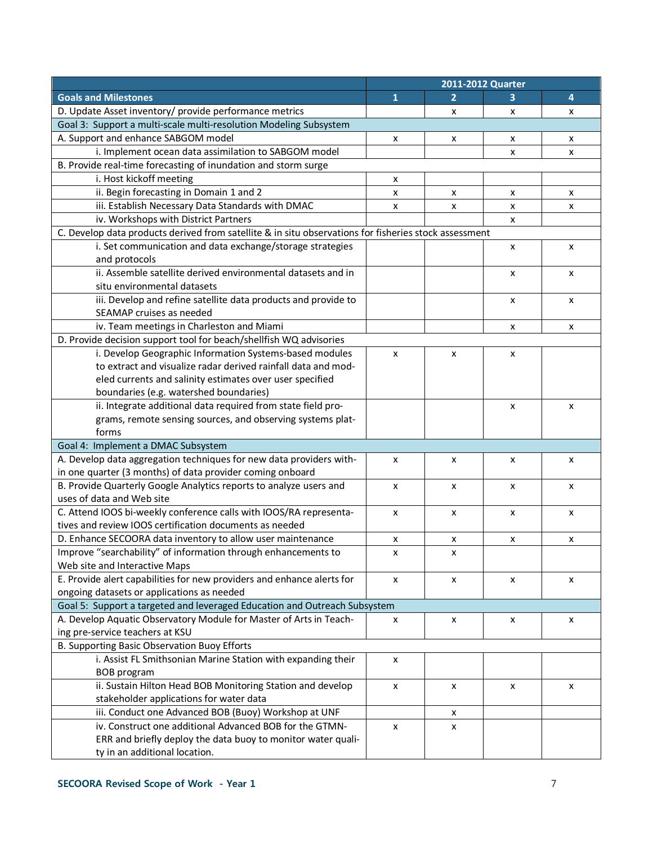|                                                                                                       | 2011-2012 Quarter |   |   |   |
|-------------------------------------------------------------------------------------------------------|-------------------|---|---|---|
| <b>Goals and Milestones</b>                                                                           | 1                 | 2 | з | 4 |
| D. Update Asset inventory/ provide performance metrics                                                |                   | X | x | X |
| Goal 3: Support a multi-scale multi-resolution Modeling Subsystem                                     |                   |   |   |   |
| A. Support and enhance SABGOM model                                                                   | х                 | x | x | x |
| i. Implement ocean data assimilation to SABGOM model                                                  |                   |   | x | X |
| B. Provide real-time forecasting of inundation and storm surge                                        |                   |   |   |   |
| i. Host kickoff meeting                                                                               | x                 |   |   |   |
| ii. Begin forecasting in Domain 1 and 2                                                               | X                 | x | х | х |
| iii. Establish Necessary Data Standards with DMAC                                                     | X                 | x | X | X |
| iv. Workshops with District Partners                                                                  |                   |   | x |   |
| C. Develop data products derived from satellite & in situ observations for fisheries stock assessment |                   |   |   |   |
| i. Set communication and data exchange/storage strategies                                             |                   |   | X | X |
| and protocols                                                                                         |                   |   |   |   |
| ii. Assemble satellite derived environmental datasets and in                                          |                   |   | x | X |
| situ environmental datasets                                                                           |                   |   |   |   |
| iii. Develop and refine satellite data products and provide to                                        |                   |   | x | X |
| SEAMAP cruises as needed                                                                              |                   |   |   |   |
| iv. Team meetings in Charleston and Miami                                                             |                   |   | x | X |
| D. Provide decision support tool for beach/shellfish WQ advisories                                    |                   |   |   |   |
| i. Develop Geographic Information Systems-based modules                                               | X                 | X | X |   |
| to extract and visualize radar derived rainfall data and mod-                                         |                   |   |   |   |
| eled currents and salinity estimates over user specified                                              |                   |   |   |   |
| boundaries (e.g. watershed boundaries)                                                                |                   |   |   |   |
| ii. Integrate additional data required from state field pro-                                          |                   |   | x | X |
| grams, remote sensing sources, and observing systems plat-                                            |                   |   |   |   |
| forms                                                                                                 |                   |   |   |   |
| Goal 4: Implement a DMAC Subsystem                                                                    |                   |   |   |   |
| A. Develop data aggregation techniques for new data providers with-                                   | X                 | x | x | X |
| in one quarter (3 months) of data provider coming onboard                                             |                   |   |   |   |
| B. Provide Quarterly Google Analytics reports to analyze users and                                    | X                 | x | x | X |
| uses of data and Web site                                                                             |                   |   |   |   |
| C. Attend IOOS bi-weekly conference calls with IOOS/RA representa-                                    | X                 | x | x | X |
| tives and review IOOS certification documents as needed                                               |                   |   |   |   |
| D. Enhance SECOORA data inventory to allow user maintenance                                           | X                 | x | x | X |
| Improve "searchability" of information through enhancements to                                        | X                 | x |   |   |
| Web site and Interactive Maps                                                                         |                   |   |   |   |
| E. Provide alert capabilities for new providers and enhance alerts for                                | X                 | x | x | X |
| ongoing datasets or applications as needed                                                            |                   |   |   |   |
| Goal 5: Support a targeted and leveraged Education and Outreach Subsystem                             |                   |   |   |   |
| A. Develop Aquatic Observatory Module for Master of Arts in Teach-                                    | x                 | x | x | x |
| ing pre-service teachers at KSU                                                                       |                   |   |   |   |
| B. Supporting Basic Observation Buoy Efforts                                                          |                   |   |   |   |
| i. Assist FL Smithsonian Marine Station with expanding their                                          | $\pmb{\times}$    |   |   |   |
| BOB program                                                                                           |                   |   |   |   |
| ii. Sustain Hilton Head BOB Monitoring Station and develop                                            | х                 | x | x | х |
| stakeholder applications for water data                                                               |                   |   |   |   |
| iii. Conduct one Advanced BOB (Buoy) Workshop at UNF                                                  |                   | x |   |   |
| iv. Construct one additional Advanced BOB for the GTMN-                                               | X                 | x |   |   |
| ERR and briefly deploy the data buoy to monitor water quali-                                          |                   |   |   |   |
| ty in an additional location.                                                                         |                   |   |   |   |